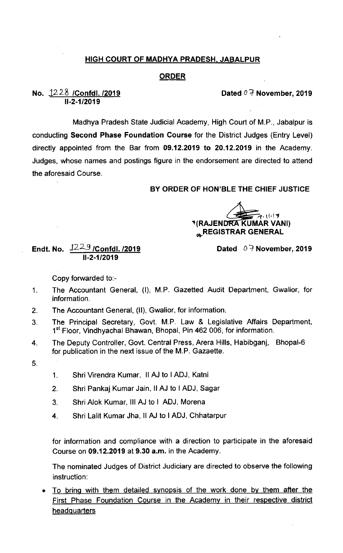## HIGH COURT OF MADHYA PRADESH. JABALPUR

## ORDER

No. 12-2`8 /Confdl. /2019 11-2-1 /2019

Dated  $0.7$  November, 2019

Madhya Pradesh State Judicial Academy, High Court of M.P., Jabalpur is conducting Second Phase Foundation Course for the District Judges (Entry Level) directly appointed from the Bar from 09.12.2019 to 20.12.2019 in the Academy. Judges, whose names and postings figure in the endorsement are directed to attend the aforesaid Course.

## BY ORDER OF HON'BLE THE CHIEF JUSTICE

**TRAJENDRA KUMAR VANI)**  $= 7.013$ **A.REGISTRAR GENERAL** 

Dated  $0.7$  November, 2019

## Endt. No.  $\frac{1229}{\sqrt{2}}$  /Confdl. /2019 11-2-1 /2019

Copy forwarded to:-

- 1. The Accountant General, (I), M.P. Gazetted Audit Department, Gwalior, for information.
- 2. The Accountant General, (Il), Gwalior, for information.
- The Principal Secretary, Govt. M.P. Law & Legislative Affairs Department, 3. 1<sup>st</sup> Floor, Vindhyachal Bhawan, Bhopal, Pin 462 006, for information.
- 4. The Deputy Controller, Govt. Central Press, Arera Hills, Habibganj, Bhopal-6 for publication in the next issue of the M.P. Gazaette.
- 5.
- 1. Shri virendra Kumar, II AJ to I ADJ, Katni
- 2. Shri pankaj Kumar Jain, ll AJ to I ADJ, Sagar
- 3. ShriAlok Kumar, Ill AJ to I ADJ, Morena
- 4. Shri Lalit Kumar Jha, II AJ to I ADJ, Chhatarpur

for information and compliance with a direction to participate in the aforesaid Course on  $09.12.2019$  at  $9.30$  a.m. in the Academy.

The nominated Judges of District Judiciary are directed to observe the following instruction:

• To bring with them detailed synopsis of the work done by them after the First Phase Foundation Course in the Academy in their respective district **headquarters**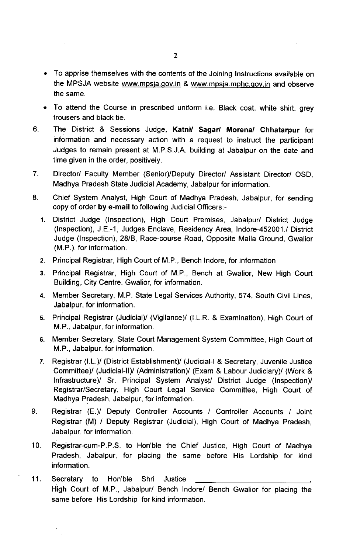- To apprise themselves with the contents of the Joining Instructions available on the MPSJA website www.mpsja.gov.in & www.mpsja.mphc.gov.in and observe the same.
- To attend the Course in prescribed uniform i.e. Black coat, white shirt, grey trousers and black tie.
- 6. The District & Sessions Judge, Katni/ Sagar/ Morena/ Chhatarpur for information and necessary action with a request to instruct the participant Judges to remain present at M.P.S.J.A. building at Jabalpur on the date and time given in the order, positively.
- 7. Director/ Faculty Member (Senior)/Deputy Director/ Assistant Director/ OSD, Madhya Pradesh State Judicial Academy, Jabalpur for information.
- 8. Chief System Analyst, High Court of Madhya Pradesh, Jabalpur, for sending copy of order by e-mail to following Judicial Officers:-
	- 1. District Judge (Inspection), High Court Premises, Jabalpur/ District Judge (Inspection), J.E.-1, Judges Enclave, Residency Area, lndore-452001./ District Judge (Inspection), 28/8, Race-course Road, Opposite Maila Ground, Gwalior (M.P.), for information,
	- 2. Principal Registrar, High Court of M.P., Bench lndore, for information
	- 3. Principal Registrar, High Court of M.P., Bench at Gwalior, New High Court Building, City Centre, Gwalior, for information.
	- 4. Member Secretary, M.P. State Legal Services Authority, 574, South Civil Lines, Jabalpur, for information.
	- 5. Principal Registrar (Judicial)/ (Vigilance)/ (I.LR. & Examination), High Court of M.P., Jabalpur, for information.
	- 6. Member Secretary, State Court Management System Committee, High Court of M.P., Jabalpur, for information,
	- 7. Registrar (I.L.)/ (District Establishment)/ (Judicial-I & Secretary, Juvenile Justice Committee)/ (Judicial-II)/ (Administration)/ (Exam & Labour Judiciary)/ (Work & Infrastructure)/ Sr. Principal System Analyst/ District Judge (Inspection)/ Registrar/Secretary, High Court Legal Service Committee, High Court of Madhya Pradesh, Jabalpur, for information.
- 9. Registrar (E.)/ Deputy Controller Accounts /' Controller Accounts / Joint Registrar (M) / Deputy Registrar (Judicial), High Court of Madhya Pradesh, Jabalpur, for information.
- 10. Registrar-cum-P.P.S. to Hon'ble the Chief Justice, High Court of Madhya Pradesh, Jabalpur, for placing the same before His Lordship for kind information.
- 11. Secretary to Hon'ble Shri Justice High Court of M.P., Jabalpur/ Bench lndore/ Bench Gwalior for placing the same before His Lordship for kind information.